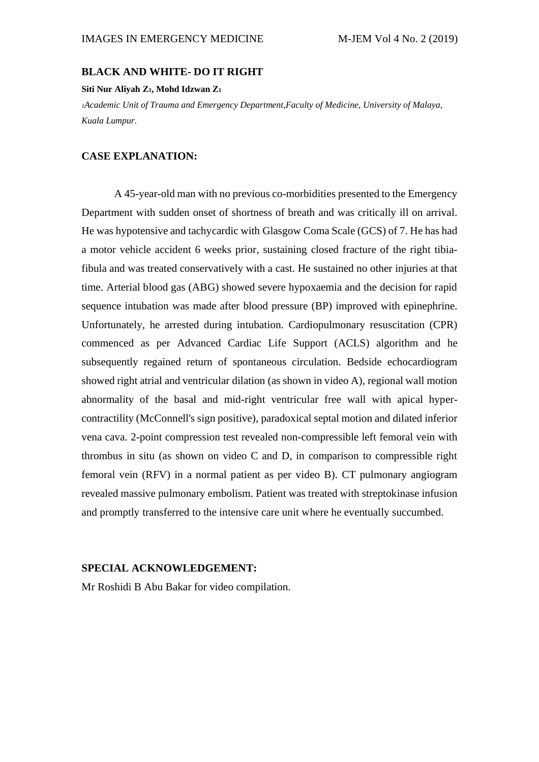### **BLACK AND WHITE- DO IT RIGHT**

### **Siti Nur Aliyah Z1, Mohd Idzwan Z<sup>1</sup>**

*<sup>1</sup>Academic Unit of Trauma and Emergency Department,Faculty of Medicine, University of Malaya, Kuala Lumpur.*

# **CASE EXPLANATION:**

A 45-year-old man with no previous co-morbidities presented to the Emergency Department with sudden onset of shortness of breath and was critically ill on arrival. He was hypotensive and tachycardic with Glasgow Coma Scale (GCS) of 7. He has had a motor vehicle accident 6 weeks prior, sustaining closed fracture of the right tibiafibula and was treated conservatively with a cast. He sustained no other injuries at that time. Arterial blood gas (ABG) showed severe hypoxaemia and the decision for rapid sequence intubation was made after blood pressure (BP) improved with epinephrine. Unfortunately, he arrested during intubation. Cardiopulmonary resuscitation (CPR) commenced as per Advanced Cardiac Life Support (ACLS) algorithm and he subsequently regained return of spontaneous circulation. Bedside echocardiogram showed right atrial and ventricular dilation (as shown in video A), regional wall motion abnormality of the basal and mid-right ventricular free wall with apical hypercontractility (McConnell's sign positive), paradoxical septal motion and dilated inferior vena cava. 2-point compression test revealed non-compressible left femoral vein with thrombus in situ (as shown on video C and D, in comparison to compressible right femoral vein (RFV) in a normal patient as per video B). CT pulmonary angiogram revealed massive pulmonary embolism. Patient was treated with streptokinase infusion and promptly transferred to the intensive care unit where he eventually succumbed.

### **SPECIAL ACKNOWLEDGEMENT:**

Mr Roshidi B Abu Bakar for video compilation.